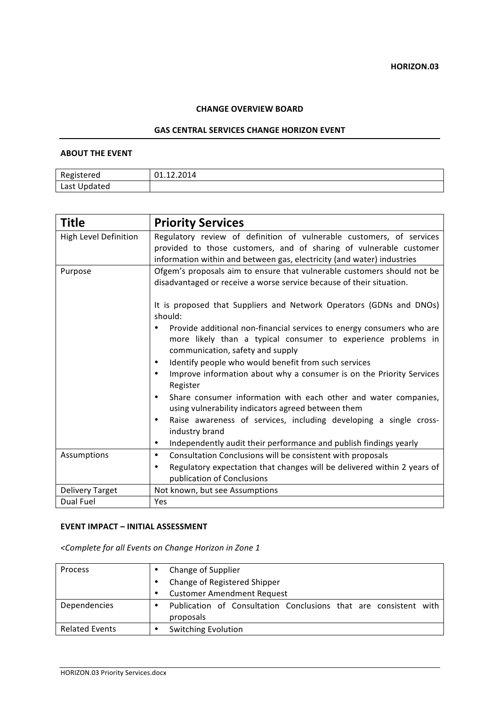#### **CHANGE OVERVIEW BOARD**

#### **GAS CENTRAL SERVICES CHANGE HORIZON EVENT**

### **ABOUT THE EVENT**

| Registered   | 01.12.2014 |
|--------------|------------|
| Last Updated |            |

| <b>Title</b>                 | <b>Priority Services</b>                                                                                                                                                                                                                                                                                                                |  |
|------------------------------|-----------------------------------------------------------------------------------------------------------------------------------------------------------------------------------------------------------------------------------------------------------------------------------------------------------------------------------------|--|
| <b>High Level Definition</b> | Regulatory review of definition of vulnerable customers, of services<br>provided to those customers, and of sharing of vulnerable customer<br>information within and between gas, electricity (and water) industries                                                                                                                    |  |
| Purpose                      | Ofgem's proposals aim to ensure that vulnerable customers should not be<br>disadvantaged or receive a worse service because of their situation.<br>It is proposed that Suppliers and Network Operators (GDNs and DNOs)                                                                                                                  |  |
|                              | should:<br>Provide additional non-financial services to energy consumers who are<br>more likely than a typical consumer to experience problems in<br>communication, safety and supply<br>Identify people who would benefit from such services<br>٠<br>Improve information about why a consumer is on the Priority Services<br>$\bullet$ |  |
|                              | Register<br>Share consumer information with each other and water companies,<br>$\bullet$<br>using vulnerability indicators agreed between them<br>Raise awareness of services, including developing a single cross-<br>$\bullet$<br>industry brand<br>Independently audit their performance and publish findings yearly<br>$\bullet$    |  |
| Assumptions                  | Consultation Conclusions will be consistent with proposals<br>$\bullet$<br>Regulatory expectation that changes will be delivered within 2 years of<br>٠<br>publication of Conclusions                                                                                                                                                   |  |
| Delivery Target              | Not known, but see Assumptions                                                                                                                                                                                                                                                                                                          |  |
| Dual Fuel                    | Yes                                                                                                                                                                                                                                                                                                                                     |  |

### **EVENT IMPACT – INITIAL ASSESSMENT**

*<Complete for all Events on Change Horizon in Zone 1*

| Process               |   | Change of Supplier                                               |
|-----------------------|---|------------------------------------------------------------------|
|                       |   | Change of Registered Shipper                                     |
|                       | ٠ | <b>Customer Amendment Request</b>                                |
| Dependencies          | ٠ | Publication of Consultation Conclusions that are consistent with |
|                       |   | proposals                                                        |
| <b>Related Events</b> |   | <b>Switching Evolution</b>                                       |